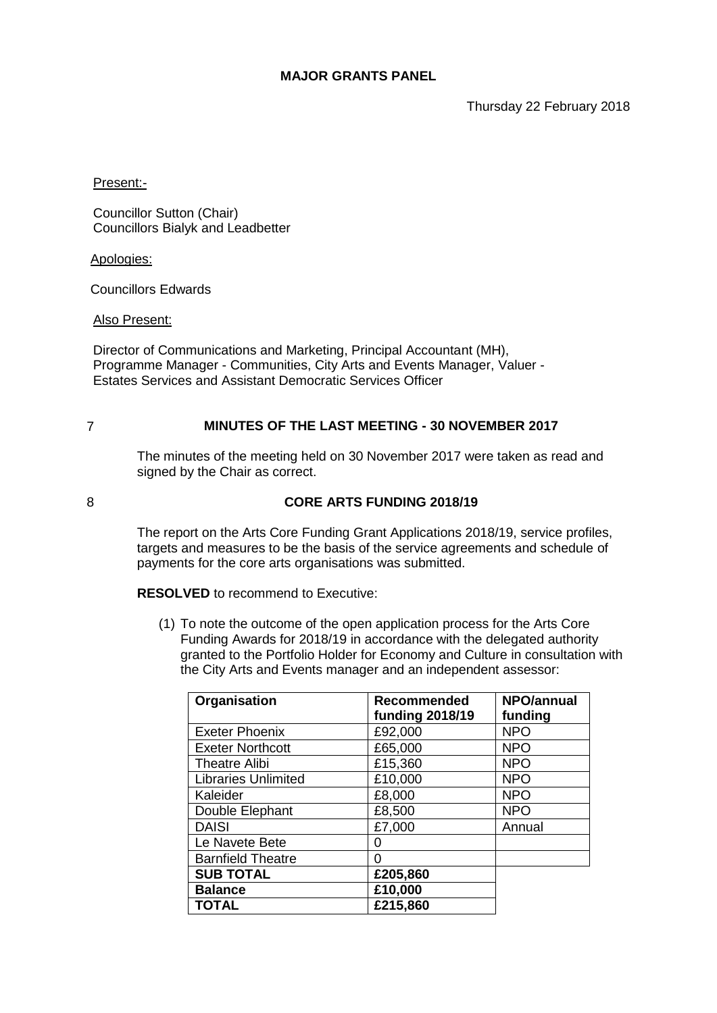Thursday 22 February 2018

Present:-

Councillor Sutton (Chair) Councillors Bialyk and Leadbetter

Apologies:

Councillors Edwards

Also Present:

Director of Communications and Marketing, Principal Accountant (MH), Programme Manager - Communities, City Arts and Events Manager, Valuer - Estates Services and Assistant Democratic Services Officer

# 7 **MINUTES OF THE LAST MEETING - 30 NOVEMBER 2017**

The minutes of the meeting held on 30 November 2017 were taken as read and signed by the Chair as correct.

## 8 **CORE ARTS FUNDING 2018/19**

The report on the Arts Core Funding Grant Applications 2018/19, service profiles, targets and measures to be the basis of the service agreements and schedule of payments for the core arts organisations was submitted.

**RESOLVED** to recommend to Executive:

(1) To note the outcome of the open application process for the Arts Core Funding Awards for 2018/19 in accordance with the delegated authority granted to the Portfolio Holder for Economy and Culture in consultation with the City Arts and Events manager and an independent assessor:

| Organisation               | <b>Recommended</b><br><b>funding 2018/19</b> | <b>NPO/annual</b><br>funding |
|----------------------------|----------------------------------------------|------------------------------|
| Exeter Phoenix             | £92,000                                      | <b>NPO</b>                   |
| <b>Exeter Northcott</b>    | £65,000                                      | <b>NPO</b>                   |
| <b>Theatre Alibi</b>       | £15,360                                      | <b>NPO</b>                   |
| <b>Libraries Unlimited</b> | £10,000                                      | <b>NPO</b>                   |
| Kaleider                   | £8,000                                       | <b>NPO</b>                   |
| Double Elephant            | £8,500                                       | <b>NPO</b>                   |
| <b>DAISI</b>               | £7,000                                       | Annual                       |
| Le Navete Bete             | 0                                            |                              |
| <b>Barnfield Theatre</b>   | 0                                            |                              |
| <b>SUB TOTAL</b>           | £205,860                                     |                              |
| <b>Balance</b>             | £10,000                                      |                              |
| <b>TOTAL</b>               | £215,860                                     |                              |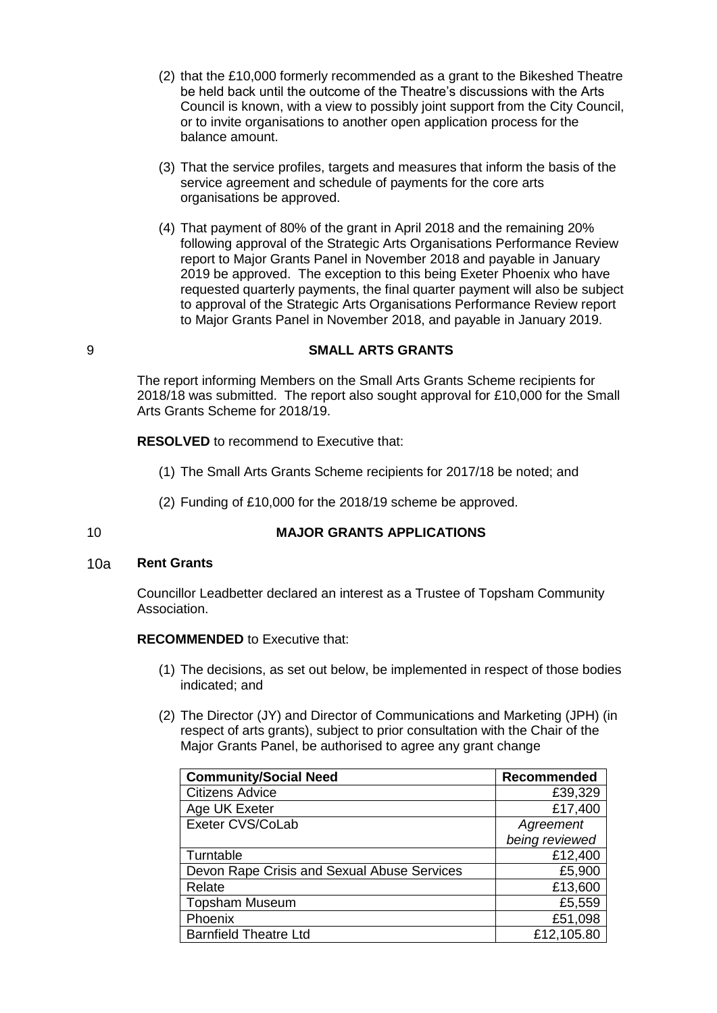- (2) that the £10,000 formerly recommended as a grant to the Bikeshed Theatre be held back until the outcome of the Theatre's discussions with the Arts Council is known, with a view to possibly joint support from the City Council, or to invite organisations to another open application process for the balance amount.
- (3) That the service profiles, targets and measures that inform the basis of the service agreement and schedule of payments for the core arts organisations be approved.
- (4) That payment of 80% of the grant in April 2018 and the remaining 20% following approval of the Strategic Arts Organisations Performance Review report to Major Grants Panel in November 2018 and payable in January 2019 be approved. The exception to this being Exeter Phoenix who have requested quarterly payments, the final quarter payment will also be subject to approval of the Strategic Arts Organisations Performance Review report to Major Grants Panel in November 2018, and payable in January 2019.

## 9 **SMALL ARTS GRANTS**

The report informing Members on the Small Arts Grants Scheme recipients for 2018/18 was submitted. The report also sought approval for £10,000 for the Small Arts Grants Scheme for 2018/19.

**RESOLVED** to recommend to Executive that:

- (1) The Small Arts Grants Scheme recipients for 2017/18 be noted; and
- (2) Funding of £10,000 for the 2018/19 scheme be approved.

# 10 **MAJOR GRANTS APPLICATIONS**

#### 10a **Rent Grants**

Councillor Leadbetter declared an interest as a Trustee of Topsham Community Association.

## **RECOMMENDED** to Executive that:

- (1) The decisions, as set out below, be implemented in respect of those bodies indicated; and
- (2) The Director (JY) and Director of Communications and Marketing (JPH) (in respect of arts grants), subject to prior consultation with the Chair of the Major Grants Panel, be authorised to agree any grant change

| <b>Community/Social Need</b>                | Recommended    |
|---------------------------------------------|----------------|
| <b>Citizens Advice</b>                      | £39,329        |
| Age UK Exeter                               | £17,400        |
| Exeter CVS/CoLab                            | Agreement      |
|                                             | being reviewed |
| Turntable                                   | £12,400        |
| Devon Rape Crisis and Sexual Abuse Services | £5,900         |
| Relate                                      | £13,600        |
| <b>Topsham Museum</b>                       | £5,559         |
| Phoenix                                     | £51,098        |
| <b>Barnfield Theatre Ltd</b>                | £12,105.80     |